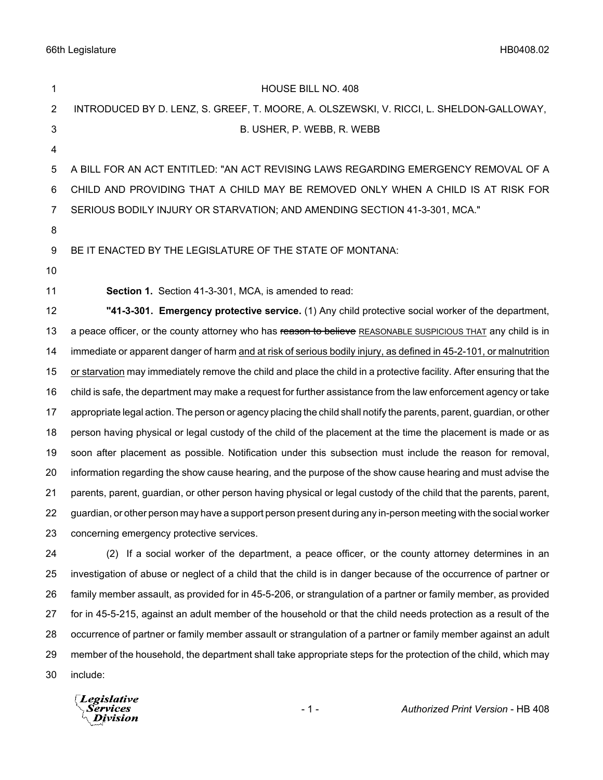66th Legislature HB0408.02

| 1  | HOUSE BILL NO. 408                                                                                                    |
|----|-----------------------------------------------------------------------------------------------------------------------|
| 2  | INTRODUCED BY D. LENZ, S. GREEF, T. MOORE, A. OLSZEWSKI, V. RICCI, L. SHELDON-GALLOWAY,                               |
| 3  | B. USHER, P. WEBB, R. WEBB                                                                                            |
| 4  |                                                                                                                       |
| 5  | A BILL FOR AN ACT ENTITLED: "AN ACT REVISING LAWS REGARDING EMERGENCY REMOVAL OF A                                    |
| 6  | CHILD AND PROVIDING THAT A CHILD MAY BE REMOVED ONLY WHEN A CHILD IS AT RISK FOR                                      |
| 7  | SERIOUS BODILY INJURY OR STARVATION; AND AMENDING SECTION 41-3-301, MCA."                                             |
| 8  |                                                                                                                       |
| 9  | BE IT ENACTED BY THE LEGISLATURE OF THE STATE OF MONTANA:                                                             |
| 10 |                                                                                                                       |
| 11 | <b>Section 1.</b> Section 41-3-301, MCA, is amended to read:                                                          |
| 12 | "41-3-301. Emergency protective service. (1) Any child protective social worker of the department,                    |
| 13 | a peace officer, or the county attorney who has reason to believe REASONABLE SUSPICIOUS THAT any child is in          |
| 14 | immediate or apparent danger of harm and at risk of serious bodily injury, as defined in 45-2-101, or malnutrition    |
| 15 | or starvation may immediately remove the child and place the child in a protective facility. After ensuring that the  |
| 16 | child is safe, the department may make a request for further assistance from the law enforcement agency or take       |
| 17 | appropriate legal action. The person or agency placing the child shall notify the parents, parent, guardian, or other |
| 18 | person having physical or legal custody of the child of the placement at the time the placement is made or as         |
| 19 | soon after placement as possible. Notification under this subsection must include the reason for removal,             |
| 20 | information regarding the show cause hearing, and the purpose of the show cause hearing and must advise the           |
| 21 | parents, parent, guardian, or other person having physical or legal custody of the child that the parents, parent,    |
| 22 | guardian, or other person may have a support person present during any in-person meeting with the social worker       |
| 23 | concerning emergency protective services.                                                                             |
| 24 | (2) If a social worker of the department, a peace officer, or the county attorney determines in an                    |
| 25 | investigation of abuse or neglect of a child that the child is in danger because of the occurrence of partner or      |
| 26 | family member assault, as provided for in 45-5-206, or strangulation of a partner or family member, as provided       |
| 27 | for in 45-5-215, against an adult member of the household or that the child needs protection as a result of the       |
| 28 | occurrence of partner or family member assault or strangulation of a partner or family member against an adult        |
| 29 | member of the household, the department shall take appropriate steps for the protection of the child, which may       |
| 30 | include:                                                                                                              |
|    |                                                                                                                       |

*Legislative*<br>Services<br>*Division*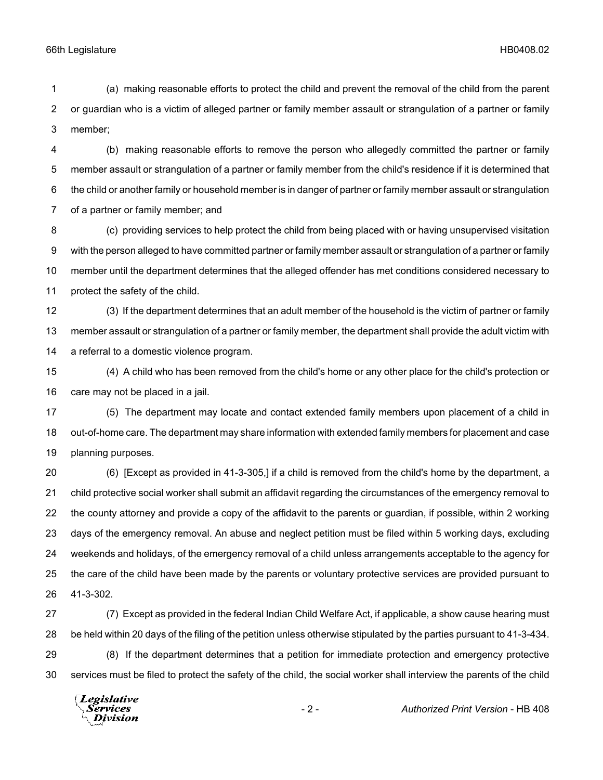66th Legislature HB0408.02

 (a) making reasonable efforts to protect the child and prevent the removal of the child from the parent or guardian who is a victim of alleged partner or family member assault or strangulation of a partner or family member;

 (b) making reasonable efforts to remove the person who allegedly committed the partner or family member assault or strangulation of a partner or family member from the child's residence if it is determined that the child or another family or household member is in danger of partner or family member assault or strangulation of a partner or family member; and

 (c) providing services to help protect the child from being placed with or having unsupervised visitation with the person alleged to have committed partner or family member assault or strangulation of a partner or family member until the department determines that the alleged offender has met conditions considered necessary to protect the safety of the child.

 (3) If the department determines that an adult member of the household is the victim of partner or family member assault or strangulation of a partner or family member, the department shall provide the adult victim with a referral to a domestic violence program.

 (4) A child who has been removed from the child's home or any other place for the child's protection or care may not be placed in a jail.

 (5) The department may locate and contact extended family members upon placement of a child in out-of-home care. The department may share information with extended family members for placement and case planning purposes.

 (6) [Except as provided in 41-3-305,] if a child is removed from the child's home by the department, a child protective social worker shall submit an affidavit regarding the circumstances of the emergency removal to the county attorney and provide a copy of the affidavit to the parents or guardian, if possible, within 2 working days of the emergency removal. An abuse and neglect petition must be filed within 5 working days, excluding weekends and holidays, of the emergency removal of a child unless arrangements acceptable to the agency for the care of the child have been made by the parents or voluntary protective services are provided pursuant to 41-3-302.

 (7) Except as provided in the federal Indian Child Welfare Act, if applicable, a show cause hearing must be held within 20 days of the filing of the petition unless otherwise stipulated by the parties pursuant to 41-3-434. (8) If the department determines that a petition for immediate protection and emergency protective services must be filed to protect the safety of the child, the social worker shall interview the parents of the child